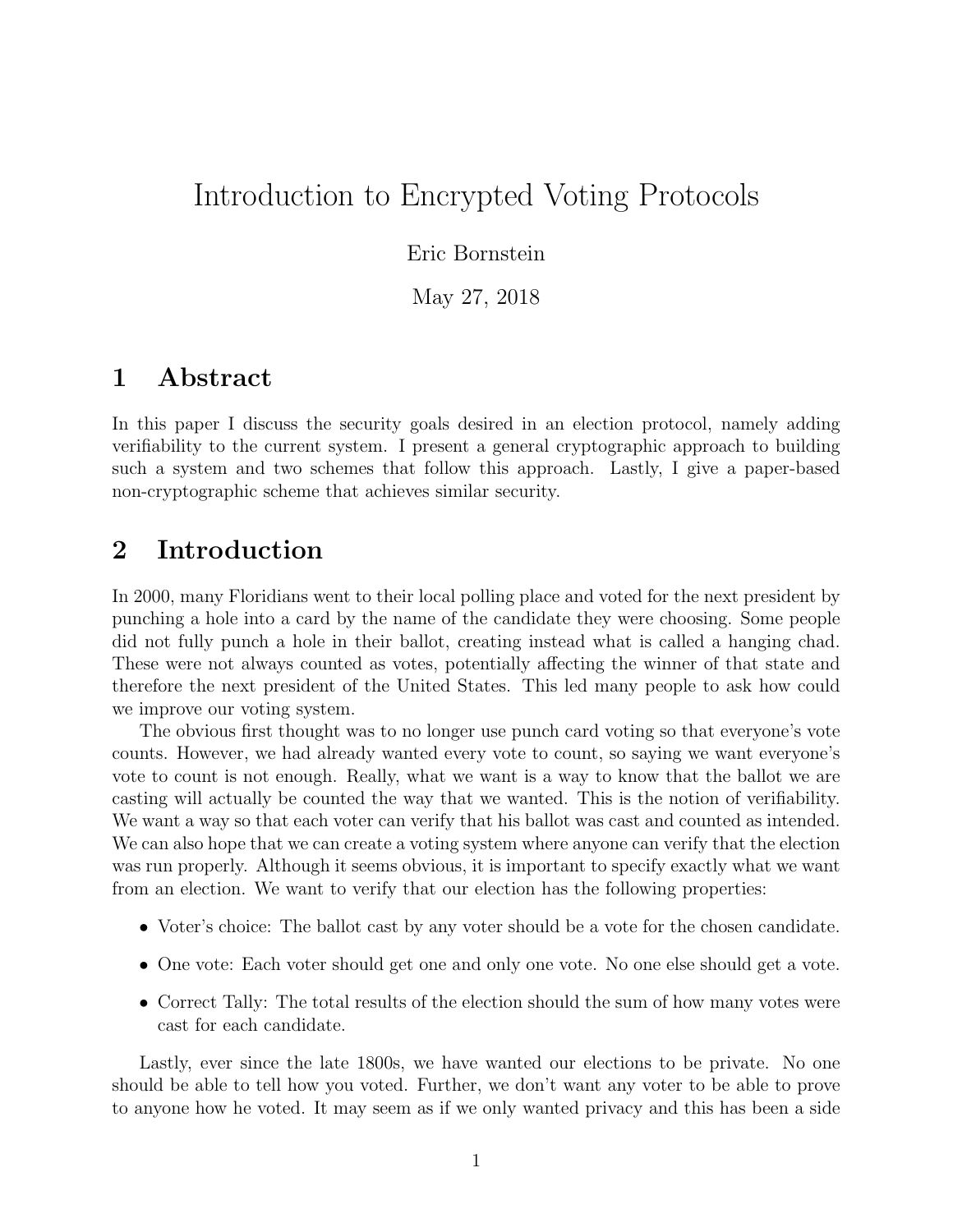# Introduction to Encrypted Voting Protocols

#### Eric Bornstein

May 27, 2018

## 1 Abstract

In this paper I discuss the security goals desired in an election protocol, namely adding verifiability to the current system. I present a general cryptographic approach to building such a system and two schemes that follow this approach. Lastly, I give a paper-based non-cryptographic scheme that achieves similar security.

# 2 Introduction

In 2000, many Floridians went to their local polling place and voted for the next president by punching a hole into a card by the name of the candidate they were choosing. Some people did not fully punch a hole in their ballot, creating instead what is called a hanging chad. These were not always counted as votes, potentially affecting the winner of that state and therefore the next president of the United States. This led many people to ask how could we improve our voting system.

The obvious first thought was to no longer use punch card voting so that everyone's vote counts. However, we had already wanted every vote to count, so saying we want everyone's vote to count is not enough. Really, what we want is a way to know that the ballot we are casting will actually be counted the way that we wanted. This is the notion of verifiability. We want a way so that each voter can verify that his ballot was cast and counted as intended. We can also hope that we can create a voting system where anyone can verify that the election was run properly. Although it seems obvious, it is important to specify exactly what we want from an election. We want to verify that our election has the following properties:

- Voter's choice: The ballot cast by any voter should be a vote for the chosen candidate.
- One vote: Each voter should get one and only one vote. No one else should get a vote.
- Correct Tally: The total results of the election should the sum of how many votes were cast for each candidate.

Lastly, ever since the late 1800s, we have wanted our elections to be private. No one should be able to tell how you voted. Further, we don't want any voter to be able to prove to anyone how he voted. It may seem as if we only wanted privacy and this has been a side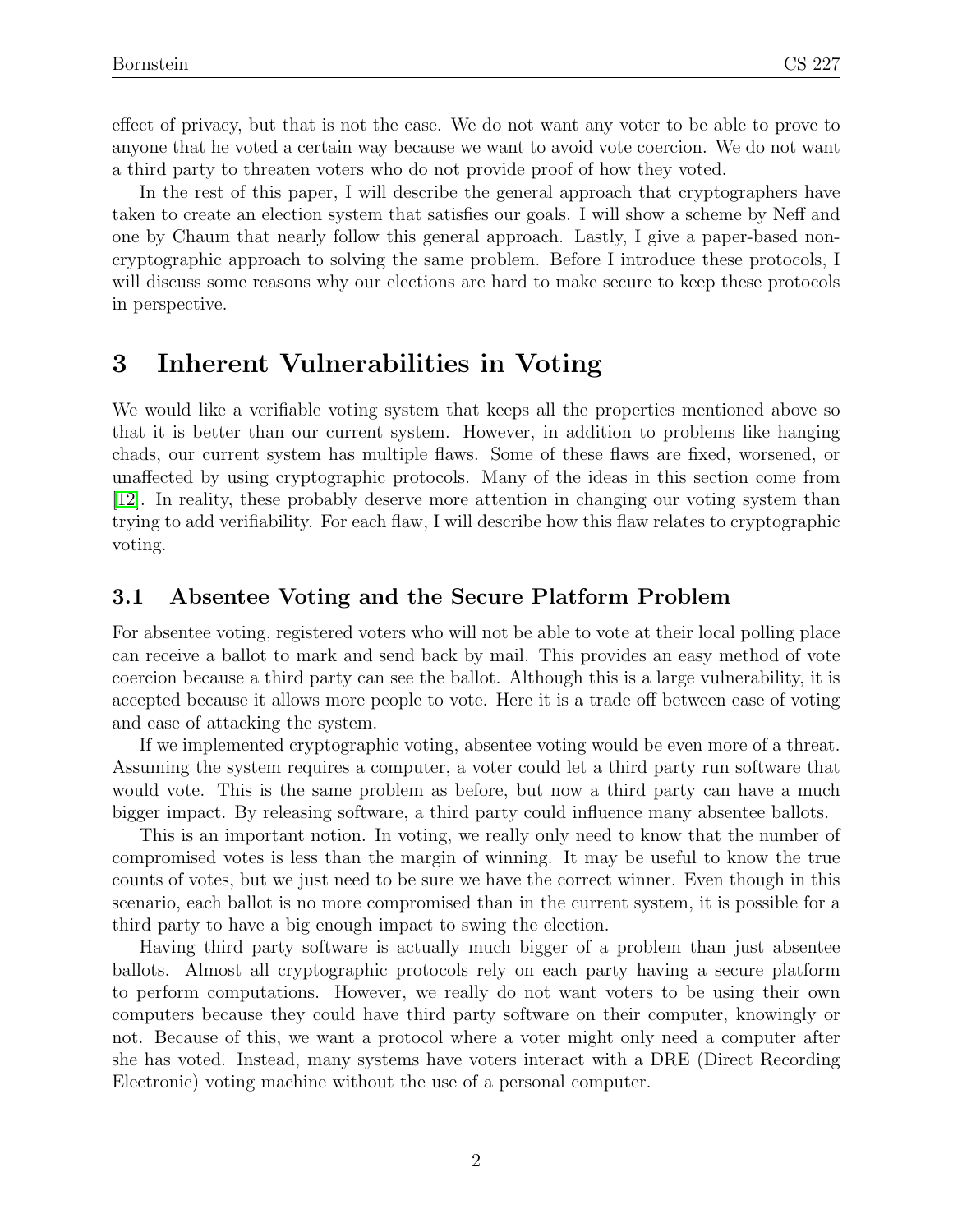effect of privacy, but that is not the case. We do not want any voter to be able to prove to anyone that he voted a certain way because we want to avoid vote coercion. We do not want a third party to threaten voters who do not provide proof of how they voted.

In the rest of this paper, I will describe the general approach that cryptographers have taken to create an election system that satisfies our goals. I will show a scheme by Neff and one by Chaum that nearly follow this general approach. Lastly, I give a paper-based noncryptographic approach to solving the same problem. Before I introduce these protocols, I will discuss some reasons why our elections are hard to make secure to keep these protocols in perspective.

# 3 Inherent Vulnerabilities in Voting

We would like a verifiable voting system that keeps all the properties mentioned above so that it is better than our current system. However, in addition to problems like hanging chads, our current system has multiple flaws. Some of these flaws are fixed, worsened, or unaffected by using cryptographic protocols. Many of the ideas in this section come from [\[12\]](#page-15-0). In reality, these probably deserve more attention in changing our voting system than trying to add verifiability. For each flaw, I will describe how this flaw relates to cryptographic voting.

### 3.1 Absentee Voting and the Secure Platform Problem

For absentee voting, registered voters who will not be able to vote at their local polling place can receive a ballot to mark and send back by mail. This provides an easy method of vote coercion because a third party can see the ballot. Although this is a large vulnerability, it is accepted because it allows more people to vote. Here it is a trade off between ease of voting and ease of attacking the system.

If we implemented cryptographic voting, absentee voting would be even more of a threat. Assuming the system requires a computer, a voter could let a third party run software that would vote. This is the same problem as before, but now a third party can have a much bigger impact. By releasing software, a third party could influence many absentee ballots.

This is an important notion. In voting, we really only need to know that the number of compromised votes is less than the margin of winning. It may be useful to know the true counts of votes, but we just need to be sure we have the correct winner. Even though in this scenario, each ballot is no more compromised than in the current system, it is possible for a third party to have a big enough impact to swing the election.

Having third party software is actually much bigger of a problem than just absentee ballots. Almost all cryptographic protocols rely on each party having a secure platform to perform computations. However, we really do not want voters to be using their own computers because they could have third party software on their computer, knowingly or not. Because of this, we want a protocol where a voter might only need a computer after she has voted. Instead, many systems have voters interact with a DRE (Direct Recording Electronic) voting machine without the use of a personal computer.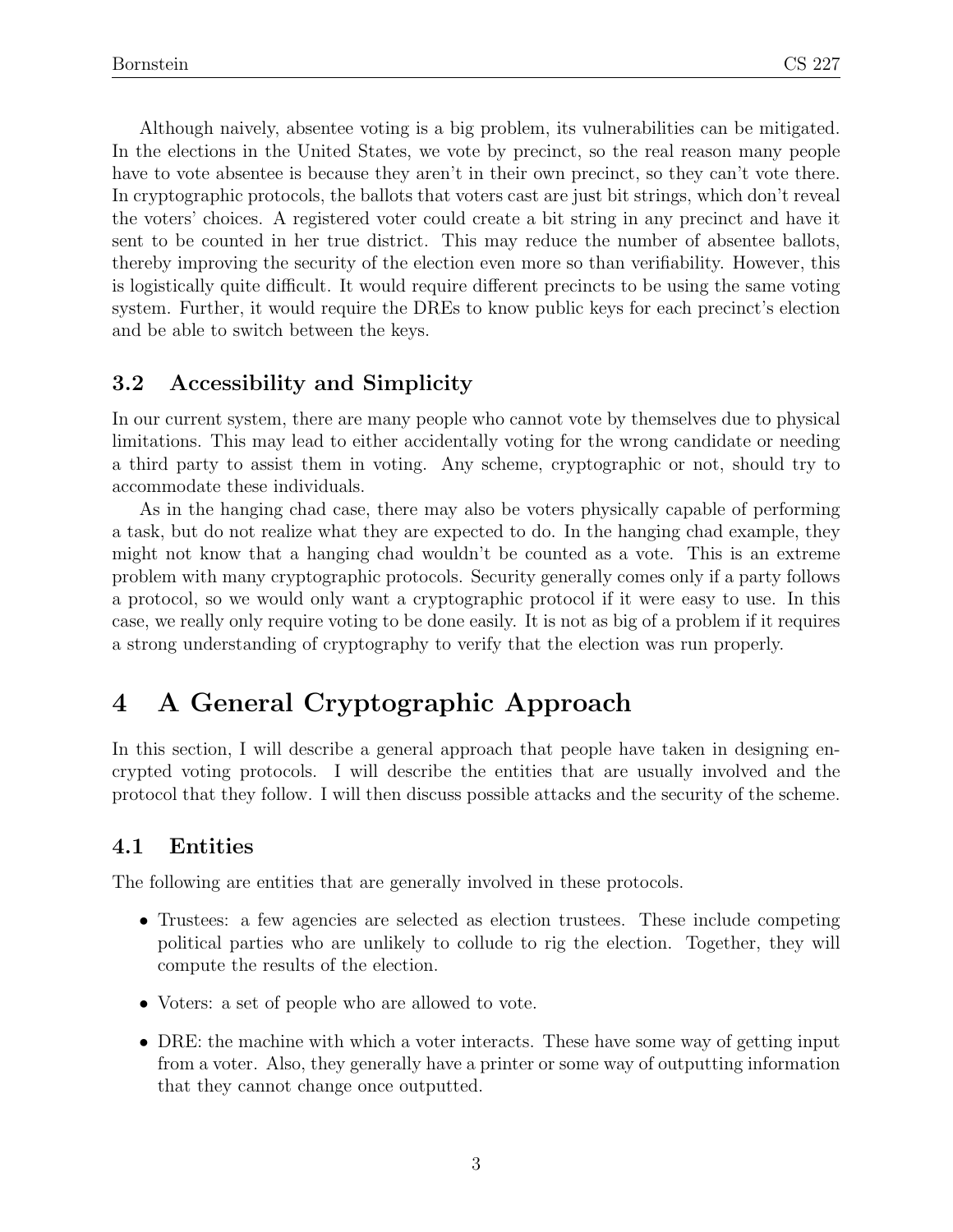Although naively, absentee voting is a big problem, its vulnerabilities can be mitigated. In the elections in the United States, we vote by precinct, so the real reason many people have to vote absentee is because they aren't in their own precinct, so they can't vote there. In cryptographic protocols, the ballots that voters cast are just bit strings, which don't reveal the voters' choices. A registered voter could create a bit string in any precinct and have it sent to be counted in her true district. This may reduce the number of absentee ballots, thereby improving the security of the election even more so than verifiability. However, this is logistically quite difficult. It would require different precincts to be using the same voting system. Further, it would require the DREs to know public keys for each precinct's election and be able to switch between the keys.

### 3.2 Accessibility and Simplicity

In our current system, there are many people who cannot vote by themselves due to physical limitations. This may lead to either accidentally voting for the wrong candidate or needing a third party to assist them in voting. Any scheme, cryptographic or not, should try to accommodate these individuals.

As in the hanging chad case, there may also be voters physically capable of performing a task, but do not realize what they are expected to do. In the hanging chad example, they might not know that a hanging chad wouldn't be counted as a vote. This is an extreme problem with many cryptographic protocols. Security generally comes only if a party follows a protocol, so we would only want a cryptographic protocol if it were easy to use. In this case, we really only require voting to be done easily. It is not as big of a problem if it requires a strong understanding of cryptography to verify that the election was run properly.

# 4 A General Cryptographic Approach

In this section, I will describe a general approach that people have taken in designing encrypted voting protocols. I will describe the entities that are usually involved and the protocol that they follow. I will then discuss possible attacks and the security of the scheme.

### 4.1 Entities

The following are entities that are generally involved in these protocols.

- Trustees: a few agencies are selected as election trustees. These include competing political parties who are unlikely to collude to rig the election. Together, they will compute the results of the election.
- Voters: a set of people who are allowed to vote.
- DRE: the machine with which a voter interacts. These have some way of getting input from a voter. Also, they generally have a printer or some way of outputting information that they cannot change once outputted.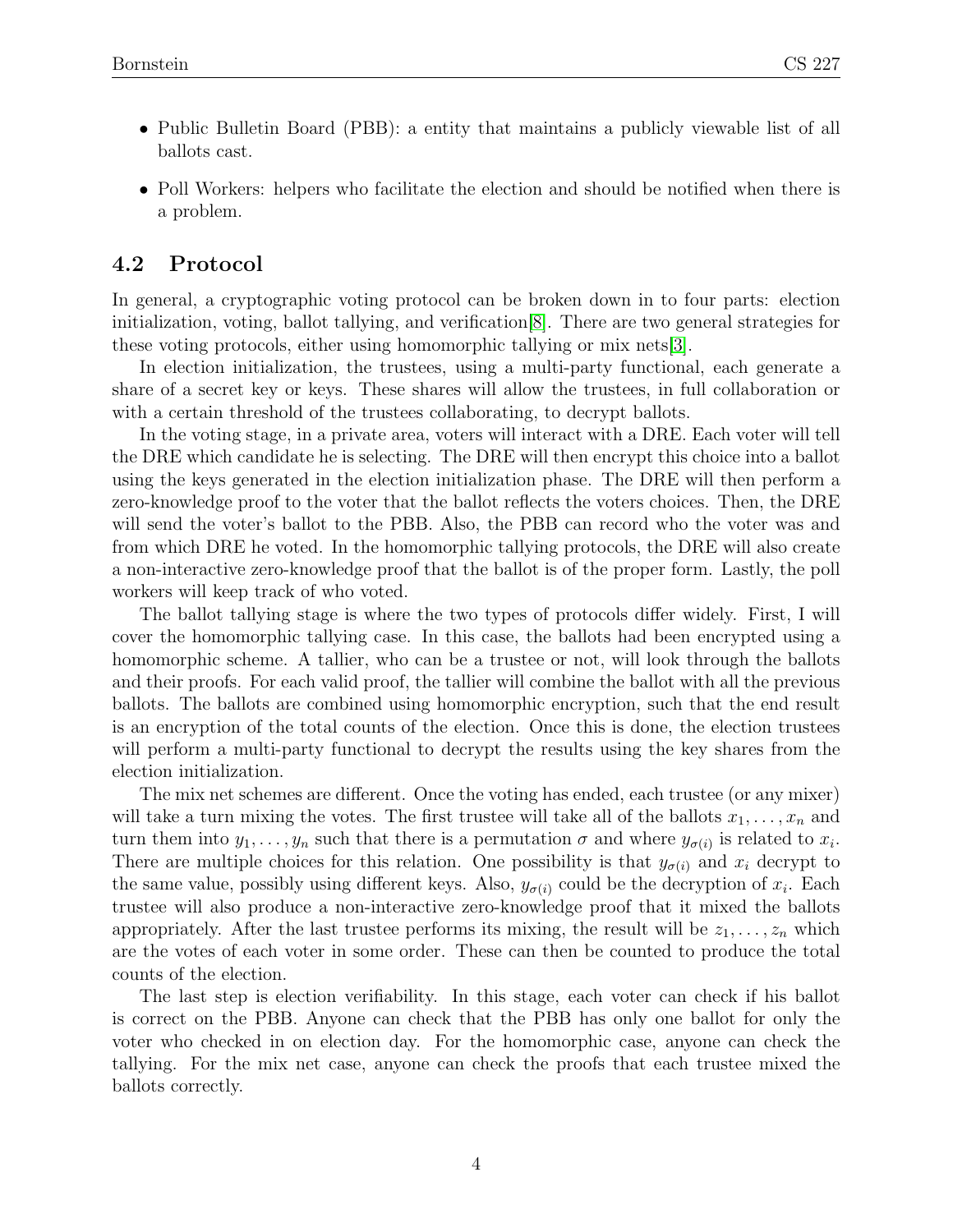- Public Bulletin Board (PBB): a entity that maintains a publicly viewable list of all ballots cast.
- Poll Workers: helpers who facilitate the election and should be notified when there is a problem.

### 4.2 Protocol

In general, a cryptographic voting protocol can be broken down in to four parts: election initialization, voting, ballot tallying, and verification[\[8\]](#page-15-1). There are two general strategies for these voting protocols, either using homomorphic tallying or mix nets[\[3\]](#page-15-2).

In election initialization, the trustees, using a multi-party functional, each generate a share of a secret key or keys. These shares will allow the trustees, in full collaboration or with a certain threshold of the trustees collaborating, to decrypt ballots.

In the voting stage, in a private area, voters will interact with a DRE. Each voter will tell the DRE which candidate he is selecting. The DRE will then encrypt this choice into a ballot using the keys generated in the election initialization phase. The DRE will then perform a zero-knowledge proof to the voter that the ballot reflects the voters choices. Then, the DRE will send the voter's ballot to the PBB. Also, the PBB can record who the voter was and from which DRE he voted. In the homomorphic tallying protocols, the DRE will also create a non-interactive zero-knowledge proof that the ballot is of the proper form. Lastly, the poll workers will keep track of who voted.

The ballot tallying stage is where the two types of protocols differ widely. First, I will cover the homomorphic tallying case. In this case, the ballots had been encrypted using a homomorphic scheme. A tallier, who can be a trustee or not, will look through the ballots and their proofs. For each valid proof, the tallier will combine the ballot with all the previous ballots. The ballots are combined using homomorphic encryption, such that the end result is an encryption of the total counts of the election. Once this is done, the election trustees will perform a multi-party functional to decrypt the results using the key shares from the election initialization.

The mix net schemes are different. Once the voting has ended, each trustee (or any mixer) will take a turn mixing the votes. The first trustee will take all of the ballots  $x_1, \ldots, x_n$  and turn them into  $y_1, \ldots, y_n$  such that there is a permutation  $\sigma$  and where  $y_{\sigma(i)}$  is related to  $x_i$ . There are multiple choices for this relation. One possibility is that  $y_{\sigma(i)}$  and  $x_i$  decrypt to the same value, possibly using different keys. Also,  $y_{\sigma(i)}$  could be the decryption of  $x_i$ . Each trustee will also produce a non-interactive zero-knowledge proof that it mixed the ballots appropriately. After the last trustee performs its mixing, the result will be  $z_1, \ldots, z_n$  which are the votes of each voter in some order. These can then be counted to produce the total counts of the election.

The last step is election verifiability. In this stage, each voter can check if his ballot is correct on the PBB. Anyone can check that the PBB has only one ballot for only the voter who checked in on election day. For the homomorphic case, anyone can check the tallying. For the mix net case, anyone can check the proofs that each trustee mixed the ballots correctly.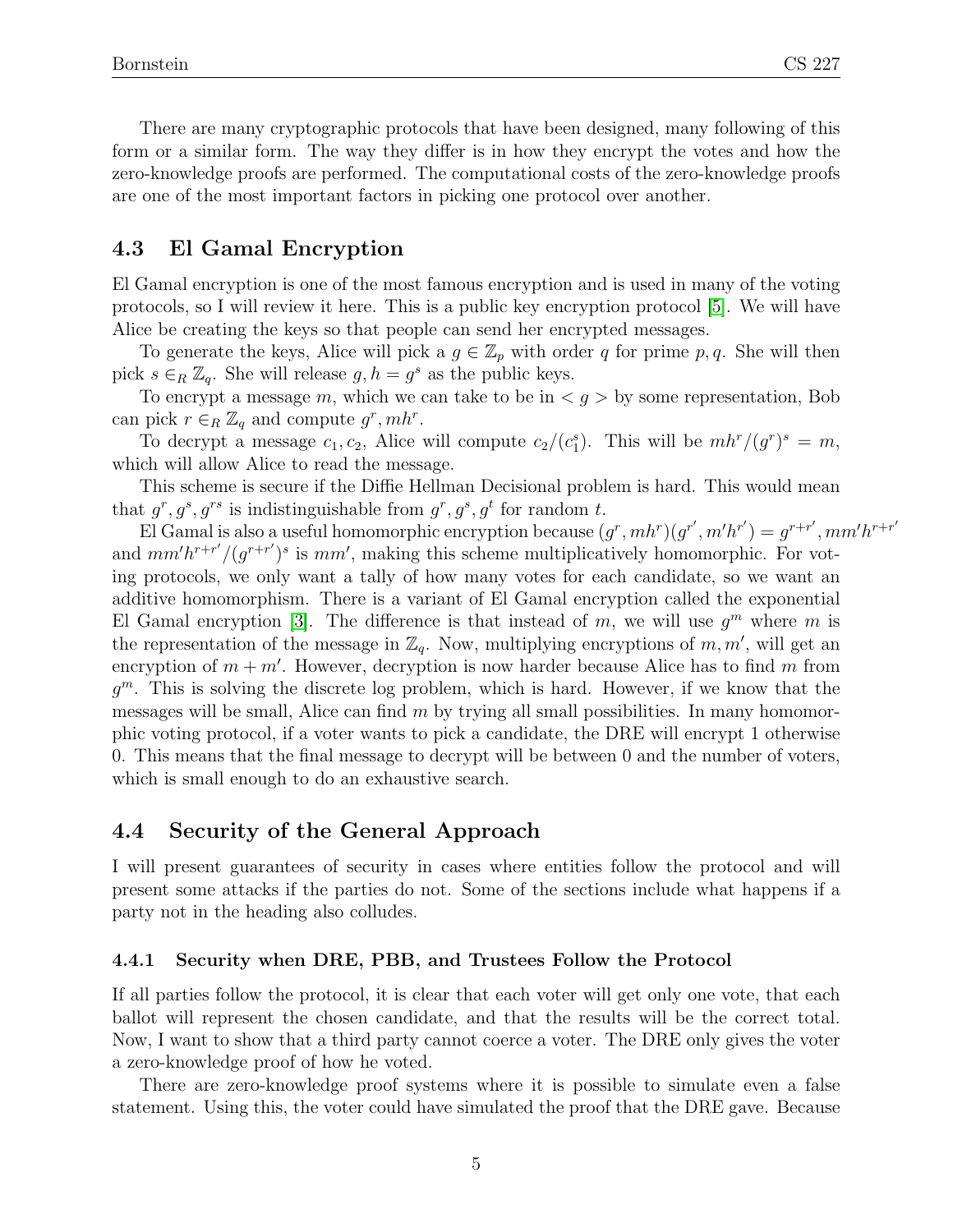There are many cryptographic protocols that have been designed, many following of this form or a similar form. The way they differ is in how they encrypt the votes and how the zero-knowledge proofs are performed. The computational costs of the zero-knowledge proofs are one of the most important factors in picking one protocol over another.

#### 4.3 El Gamal Encryption

El Gamal encryption is one of the most famous encryption and is used in many of the voting protocols, so I will review it here. This is a public key encryption protocol [\[5\]](#page-15-3). We will have Alice be creating the keys so that people can send her encrypted messages.

To generate the keys, Alice will pick a  $g \in \mathbb{Z}_p$  with order q for prime p, q. She will then pick  $s \in_R \mathbb{Z}_q$ . She will release  $g, h = g^s$  as the public keys.

To encrypt a message m, which we can take to be in  $\lt g$  by some representation, Bob can pick  $r \in_R \mathbb{Z}_q$  and compute  $g^r, mh^r$ .

To decrypt a message  $c_1, c_2$ , Alice will compute  $c_2/(c_1^s)$ . This will be  $m h^r/(g^r)^s = m$ , which will allow Alice to read the message.

This scheme is secure if the Diffie Hellman Decisional problem is hard. This would mean that  $g^r, g^s, g^{rs}$  is indistinguishable from  $g^r, g^s, g^t$  for random t.

El Gamal is also a useful homomorphic encryption because  $(g^r, mh^r)(g^{r'}, m'h^{r'}) = g^{r+r'}, mm'h^{r+r'}$ and  $mm'h^{r+r'}/(g^{r+r'})^s$  is  $mm'$ , making this scheme multiplicatively homomorphic. For voting protocols, we only want a tally of how many votes for each candidate, so we want an additive homomorphism. There is a variant of El Gamal encryption called the exponential El Gamal encryption [\[3\]](#page-15-2). The difference is that instead of m, we will use  $g<sup>m</sup>$  where m is the representation of the message in  $\mathbb{Z}_q$ . Now, multiplying encryptions of m, m', will get an encryption of  $m + m'$ . However, decryption is now harder because Alice has to find m from  $g^m$ . This is solving the discrete log problem, which is hard. However, if we know that the messages will be small, Alice can find  $m$  by trying all small possibilities. In many homomorphic voting protocol, if a voter wants to pick a candidate, the DRE will encrypt 1 otherwise 0. This means that the final message to decrypt will be between 0 and the number of voters, which is small enough to do an exhaustive search.

### 4.4 Security of the General Approach

I will present guarantees of security in cases where entities follow the protocol and will present some attacks if the parties do not. Some of the sections include what happens if a party not in the heading also colludes.

#### <span id="page-4-0"></span>4.4.1 Security when DRE, PBB, and Trustees Follow the Protocol

If all parties follow the protocol, it is clear that each voter will get only one vote, that each ballot will represent the chosen candidate, and that the results will be the correct total. Now, I want to show that a third party cannot coerce a voter. The DRE only gives the voter a zero-knowledge proof of how he voted.

There are zero-knowledge proof systems where it is possible to simulate even a false statement. Using this, the voter could have simulated the proof that the DRE gave. Because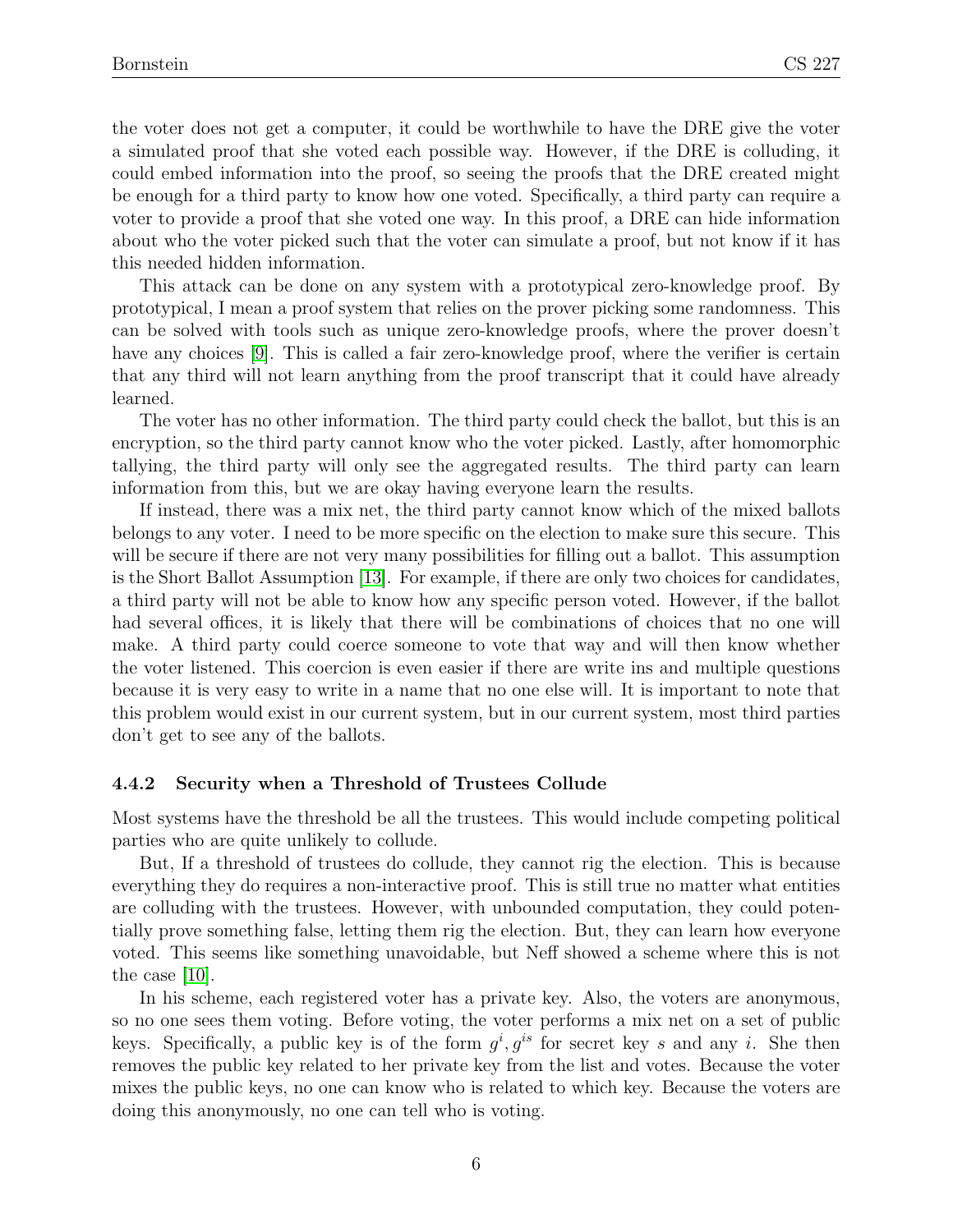the voter does not get a computer, it could be worthwhile to have the DRE give the voter a simulated proof that she voted each possible way. However, if the DRE is colluding, it could embed information into the proof, so seeing the proofs that the DRE created might be enough for a third party to know how one voted. Specifically, a third party can require a voter to provide a proof that she voted one way. In this proof, a DRE can hide information about who the voter picked such that the voter can simulate a proof, but not know if it has this needed hidden information.

This attack can be done on any system with a prototypical zero-knowledge proof. By prototypical, I mean a proof system that relies on the prover picking some randomness. This can be solved with tools such as unique zero-knowledge proofs, where the prover doesn't have any choices [\[9\]](#page-15-4). This is called a fair zero-knowledge proof, where the verifier is certain that any third will not learn anything from the proof transcript that it could have already learned.

The voter has no other information. The third party could check the ballot, but this is an encryption, so the third party cannot know who the voter picked. Lastly, after homomorphic tallying, the third party will only see the aggregated results. The third party can learn information from this, but we are okay having everyone learn the results.

If instead, there was a mix net, the third party cannot know which of the mixed ballots belongs to any voter. I need to be more specific on the election to make sure this secure. This will be secure if there are not very many possibilities for filling out a ballot. This assumption is the Short Ballot Assumption [\[13\]](#page-16-0). For example, if there are only two choices for candidates, a third party will not be able to know how any specific person voted. However, if the ballot had several offices, it is likely that there will be combinations of choices that no one will make. A third party could coerce someone to vote that way and will then know whether the voter listened. This coercion is even easier if there are write ins and multiple questions because it is very easy to write in a name that no one else will. It is important to note that this problem would exist in our current system, but in our current system, most third parties don't get to see any of the ballots.

#### 4.4.2 Security when a Threshold of Trustees Collude

Most systems have the threshold be all the trustees. This would include competing political parties who are quite unlikely to collude.

But, If a threshold of trustees do collude, they cannot rig the election. This is because everything they do requires a non-interactive proof. This is still true no matter what entities are colluding with the trustees. However, with unbounded computation, they could potentially prove something false, letting them rig the election. But, they can learn how everyone voted. This seems like something unavoidable, but Neff showed a scheme where this is not the case [\[10\]](#page-15-5).

In his scheme, each registered voter has a private key. Also, the voters are anonymous, so no one sees them voting. Before voting, the voter performs a mix net on a set of public keys. Specifically, a public key is of the form  $g^i, g^{is}$  for secret key s and any i. She then removes the public key related to her private key from the list and votes. Because the voter mixes the public keys, no one can know who is related to which key. Because the voters are doing this anonymously, no one can tell who is voting.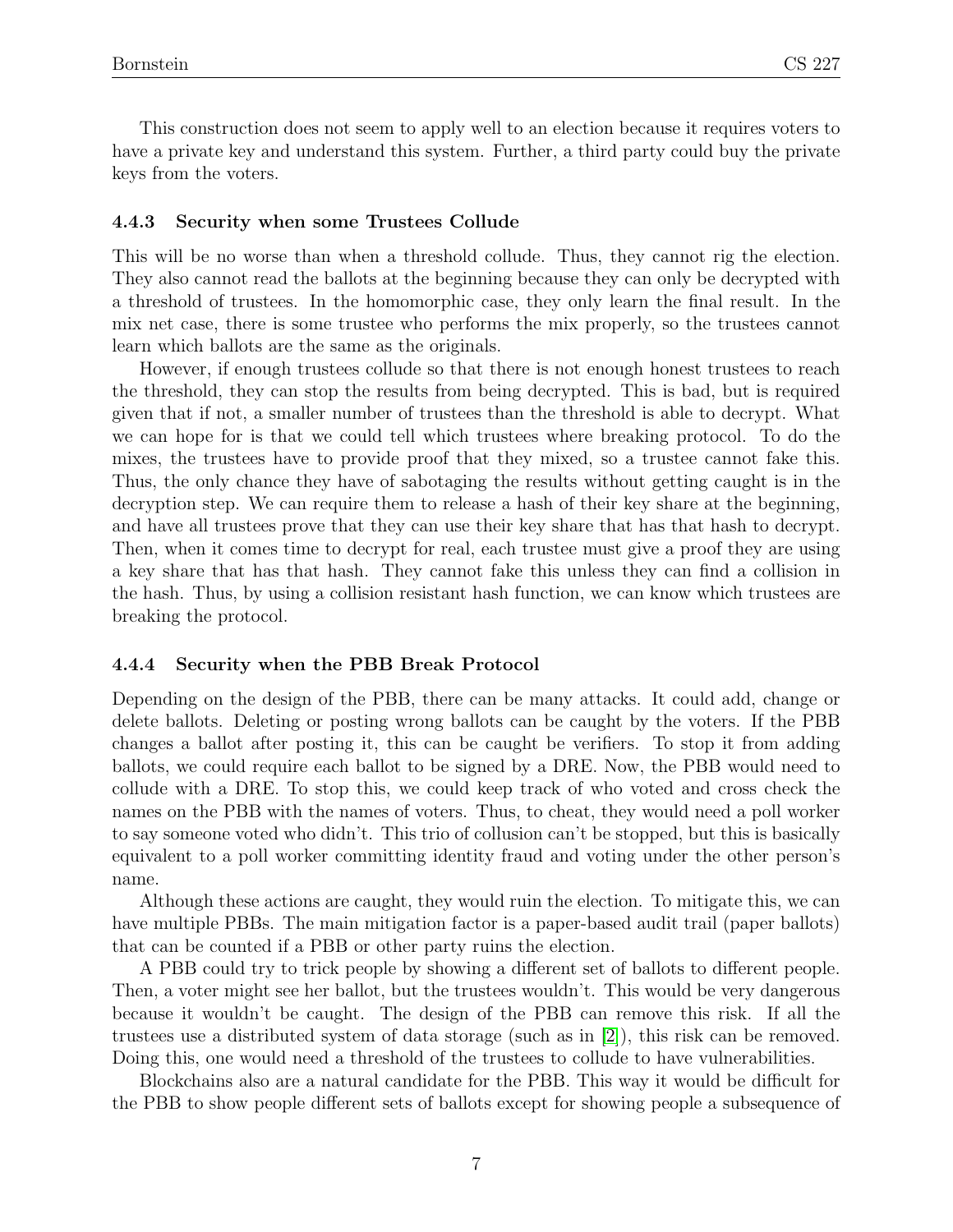This construction does not seem to apply well to an election because it requires voters to have a private key and understand this system. Further, a third party could buy the private keys from the voters.

#### 4.4.3 Security when some Trustees Collude

This will be no worse than when a threshold collude. Thus, they cannot rig the election. They also cannot read the ballots at the beginning because they can only be decrypted with a threshold of trustees. In the homomorphic case, they only learn the final result. In the mix net case, there is some trustee who performs the mix properly, so the trustees cannot learn which ballots are the same as the originals.

However, if enough trustees collude so that there is not enough honest trustees to reach the threshold, they can stop the results from being decrypted. This is bad, but is required given that if not, a smaller number of trustees than the threshold is able to decrypt. What we can hope for is that we could tell which trustees where breaking protocol. To do the mixes, the trustees have to provide proof that they mixed, so a trustee cannot fake this. Thus, the only chance they have of sabotaging the results without getting caught is in the decryption step. We can require them to release a hash of their key share at the beginning, and have all trustees prove that they can use their key share that has that hash to decrypt. Then, when it comes time to decrypt for real, each trustee must give a proof they are using a key share that has that hash. They cannot fake this unless they can find a collision in the hash. Thus, by using a collision resistant hash function, we can know which trustees are breaking the protocol.

#### 4.4.4 Security when the PBB Break Protocol

Depending on the design of the PBB, there can be many attacks. It could add, change or delete ballots. Deleting or posting wrong ballots can be caught by the voters. If the PBB changes a ballot after posting it, this can be caught be verifiers. To stop it from adding ballots, we could require each ballot to be signed by a DRE. Now, the PBB would need to collude with a DRE. To stop this, we could keep track of who voted and cross check the names on the PBB with the names of voters. Thus, to cheat, they would need a poll worker to say someone voted who didn't. This trio of collusion can't be stopped, but this is basically equivalent to a poll worker committing identity fraud and voting under the other person's name.

Although these actions are caught, they would ruin the election. To mitigate this, we can have multiple PBBs. The main mitigation factor is a paper-based audit trail (paper ballots) that can be counted if a PBB or other party ruins the election.

A PBB could try to trick people by showing a different set of ballots to different people. Then, a voter might see her ballot, but the trustees wouldn't. This would be very dangerous because it wouldn't be caught. The design of the PBB can remove this risk. If all the trustees use a distributed system of data storage (such as in [\[2\]](#page-15-6)), this risk can be removed. Doing this, one would need a threshold of the trustees to collude to have vulnerabilities.

Blockchains also are a natural candidate for the PBB. This way it would be difficult for the PBB to show people different sets of ballots except for showing people a subsequence of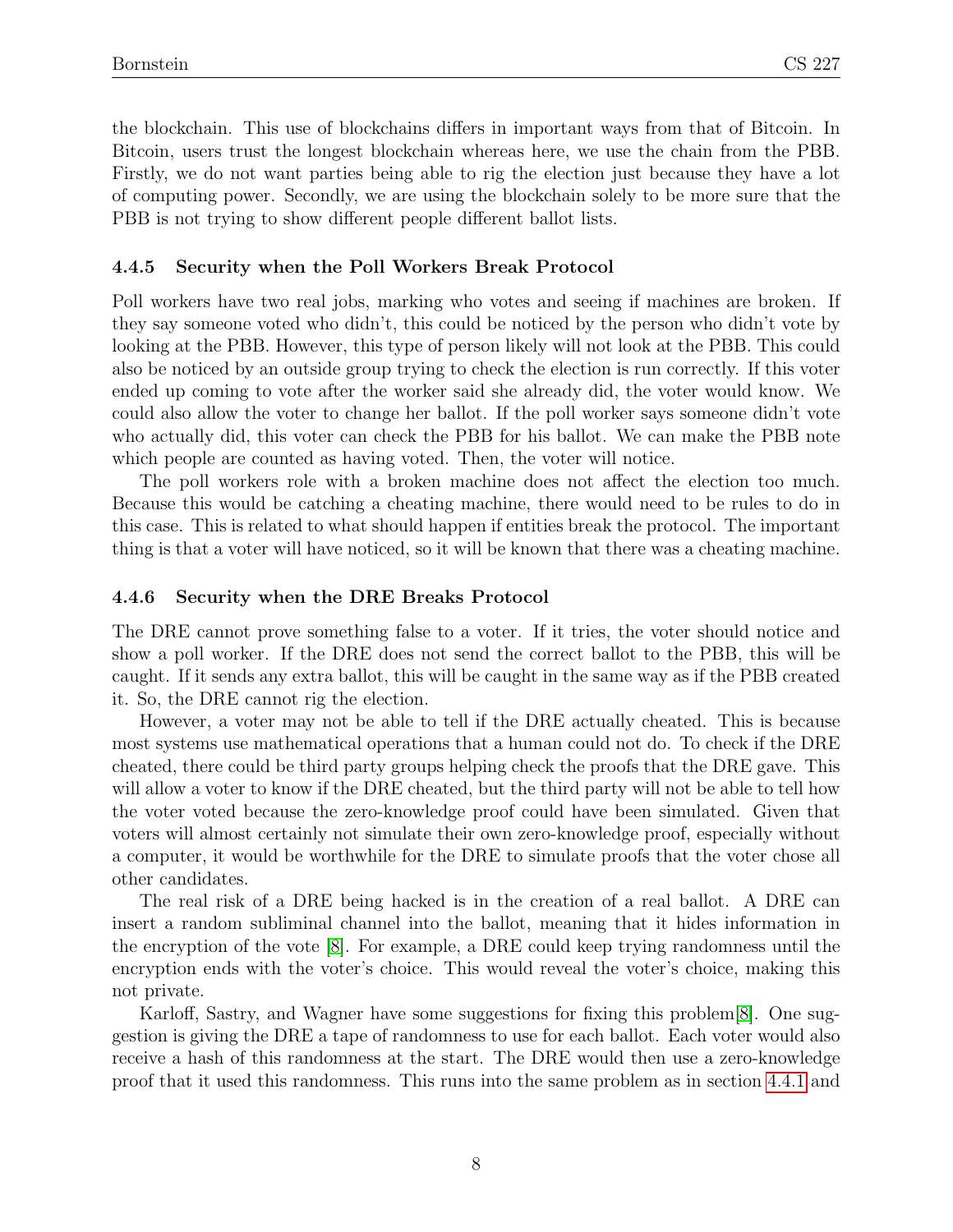the blockchain. This use of blockchains differs in important ways from that of Bitcoin. In Bitcoin, users trust the longest blockchain whereas here, we use the chain from the PBB. Firstly, we do not want parties being able to rig the election just because they have a lot of computing power. Secondly, we are using the blockchain solely to be more sure that the PBB is not trying to show different people different ballot lists.

#### 4.4.5 Security when the Poll Workers Break Protocol

Poll workers have two real jobs, marking who votes and seeing if machines are broken. If they say someone voted who didn't, this could be noticed by the person who didn't vote by looking at the PBB. However, this type of person likely will not look at the PBB. This could also be noticed by an outside group trying to check the election is run correctly. If this voter ended up coming to vote after the worker said she already did, the voter would know. We could also allow the voter to change her ballot. If the poll worker says someone didn't vote who actually did, this voter can check the PBB for his ballot. We can make the PBB note which people are counted as having voted. Then, the voter will notice.

The poll workers role with a broken machine does not affect the election too much. Because this would be catching a cheating machine, there would need to be rules to do in this case. This is related to what should happen if entities break the protocol. The important thing is that a voter will have noticed, so it will be known that there was a cheating machine.

#### 4.4.6 Security when the DRE Breaks Protocol

The DRE cannot prove something false to a voter. If it tries, the voter should notice and show a poll worker. If the DRE does not send the correct ballot to the PBB, this will be caught. If it sends any extra ballot, this will be caught in the same way as if the PBB created it. So, the DRE cannot rig the election.

However, a voter may not be able to tell if the DRE actually cheated. This is because most systems use mathematical operations that a human could not do. To check if the DRE cheated, there could be third party groups helping check the proofs that the DRE gave. This will allow a voter to know if the DRE cheated, but the third party will not be able to tell how the voter voted because the zero-knowledge proof could have been simulated. Given that voters will almost certainly not simulate their own zero-knowledge proof, especially without a computer, it would be worthwhile for the DRE to simulate proofs that the voter chose all other candidates.

The real risk of a DRE being hacked is in the creation of a real ballot. A DRE can insert a random subliminal channel into the ballot, meaning that it hides information in the encryption of the vote [\[8\]](#page-15-1). For example, a DRE could keep trying randomness until the encryption ends with the voter's choice. This would reveal the voter's choice, making this not private.

Karloff, Sastry, and Wagner have some suggestions for fixing this problem[\[8\]](#page-15-1). One suggestion is giving the DRE a tape of randomness to use for each ballot. Each voter would also receive a hash of this randomness at the start. The DRE would then use a zero-knowledge proof that it used this randomness. This runs into the same problem as in section [4.4.1](#page-4-0) and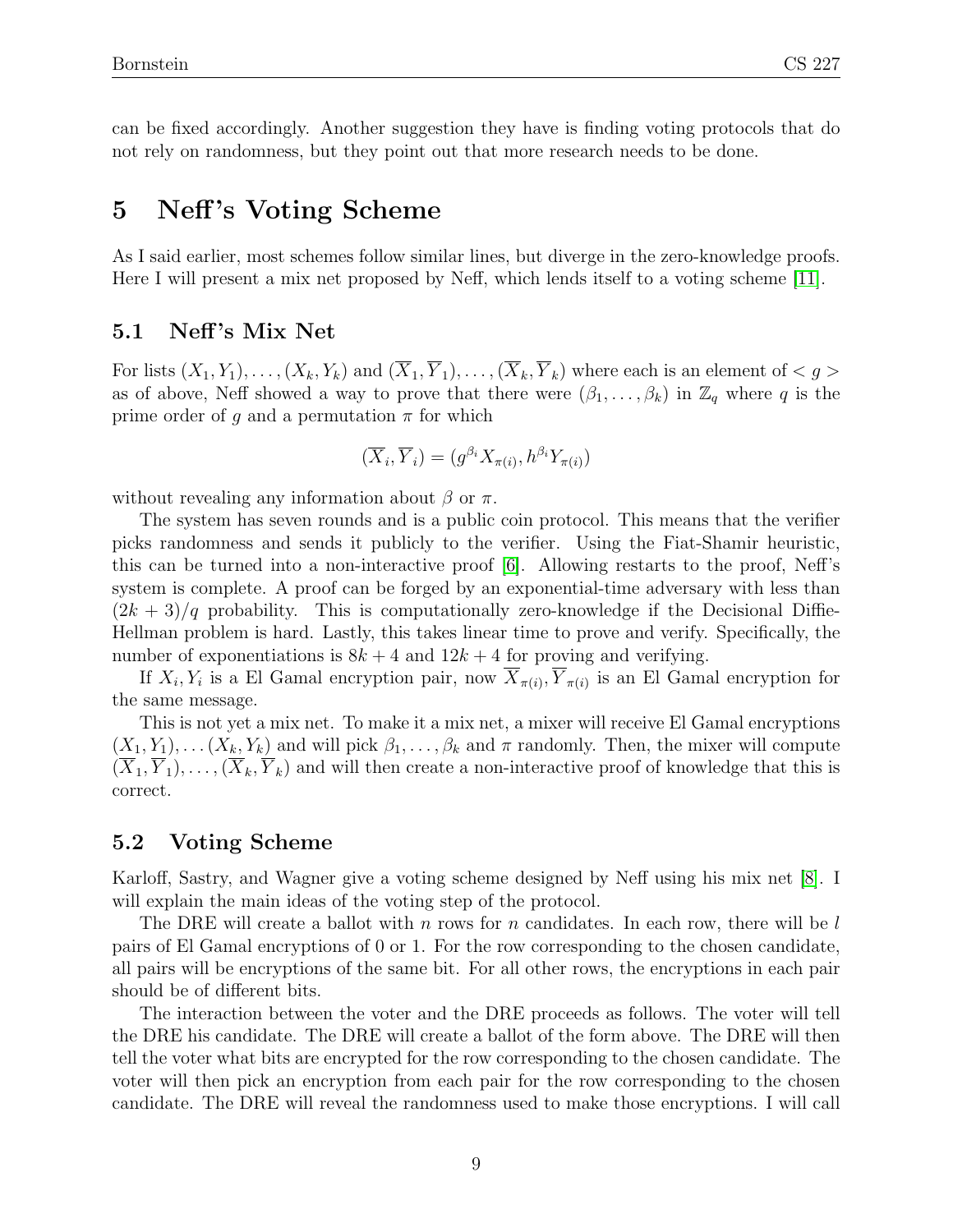can be fixed accordingly. Another suggestion they have is finding voting protocols that do not rely on randomness, but they point out that more research needs to be done.

## 5 Neff's Voting Scheme

As I said earlier, most schemes follow similar lines, but diverge in the zero-knowledge proofs. Here I will present a mix net proposed by Neff, which lends itself to a voting scheme [\[11\]](#page-15-7).

#### 5.1 Neff 's Mix Net

For lists  $(X_1, Y_1), \ldots, (X_k, Y_k)$  and  $(\overline{X}_1, \overline{Y}_1), \ldots, (\overline{X}_k, \overline{Y}_k)$  where each is an element of  $\langle g \rangle$ as of above, Neff showed a way to prove that there were  $(\beta_1, \ldots, \beta_k)$  in  $\mathbb{Z}_q$  where q is the prime order of g and a permutation  $\pi$  for which

$$
(\overline{X}_i, \overline{Y}_i) = (g^{\beta_i} X_{\pi(i)}, h^{\beta_i} Y_{\pi(i)})
$$

without revealing any information about  $\beta$  or  $\pi$ .

The system has seven rounds and is a public coin protocol. This means that the verifier picks randomness and sends it publicly to the verifier. Using the Fiat-Shamir heuristic, this can be turned into a non-interactive proof [\[6\]](#page-15-8). Allowing restarts to the proof, Neff's system is complete. A proof can be forged by an exponential-time adversary with less than  $(2k+3)/q$  probability. This is computationally zero-knowledge if the Decisional Diffie-Hellman problem is hard. Lastly, this takes linear time to prove and verify. Specifically, the number of exponentiations is  $8k + 4$  and  $12k + 4$  for proving and verifying.

If  $X_i, Y_i$  is a El Gamal encryption pair, now  $X_{\pi(i)}, Y_{\pi(i)}$  is an El Gamal encryption for the same message.

This is not yet a mix net. To make it a mix net, a mixer will receive El Gamal encryptions  $(X_1, Y_1), \ldots (X_k, Y_k)$  and will pick  $\beta_1, \ldots, \beta_k$  and  $\pi$  randomly. Then, the mixer will compute  $(\overline{X}_1, \overline{Y}_1), \ldots, (\overline{X}_k, \overline{Y}_k)$  and will then create a non-interactive proof of knowledge that this is correct.

#### 5.2 Voting Scheme

Karloff, Sastry, and Wagner give a voting scheme designed by Neff using his mix net [\[8\]](#page-15-1). I will explain the main ideas of the voting step of the protocol.

The DRE will create a ballot with n rows for n candidates. In each row, there will be l pairs of El Gamal encryptions of 0 or 1. For the row corresponding to the chosen candidate, all pairs will be encryptions of the same bit. For all other rows, the encryptions in each pair should be of different bits.

The interaction between the voter and the DRE proceeds as follows. The voter will tell the DRE his candidate. The DRE will create a ballot of the form above. The DRE will then tell the voter what bits are encrypted for the row corresponding to the chosen candidate. The voter will then pick an encryption from each pair for the row corresponding to the chosen candidate. The DRE will reveal the randomness used to make those encryptions. I will call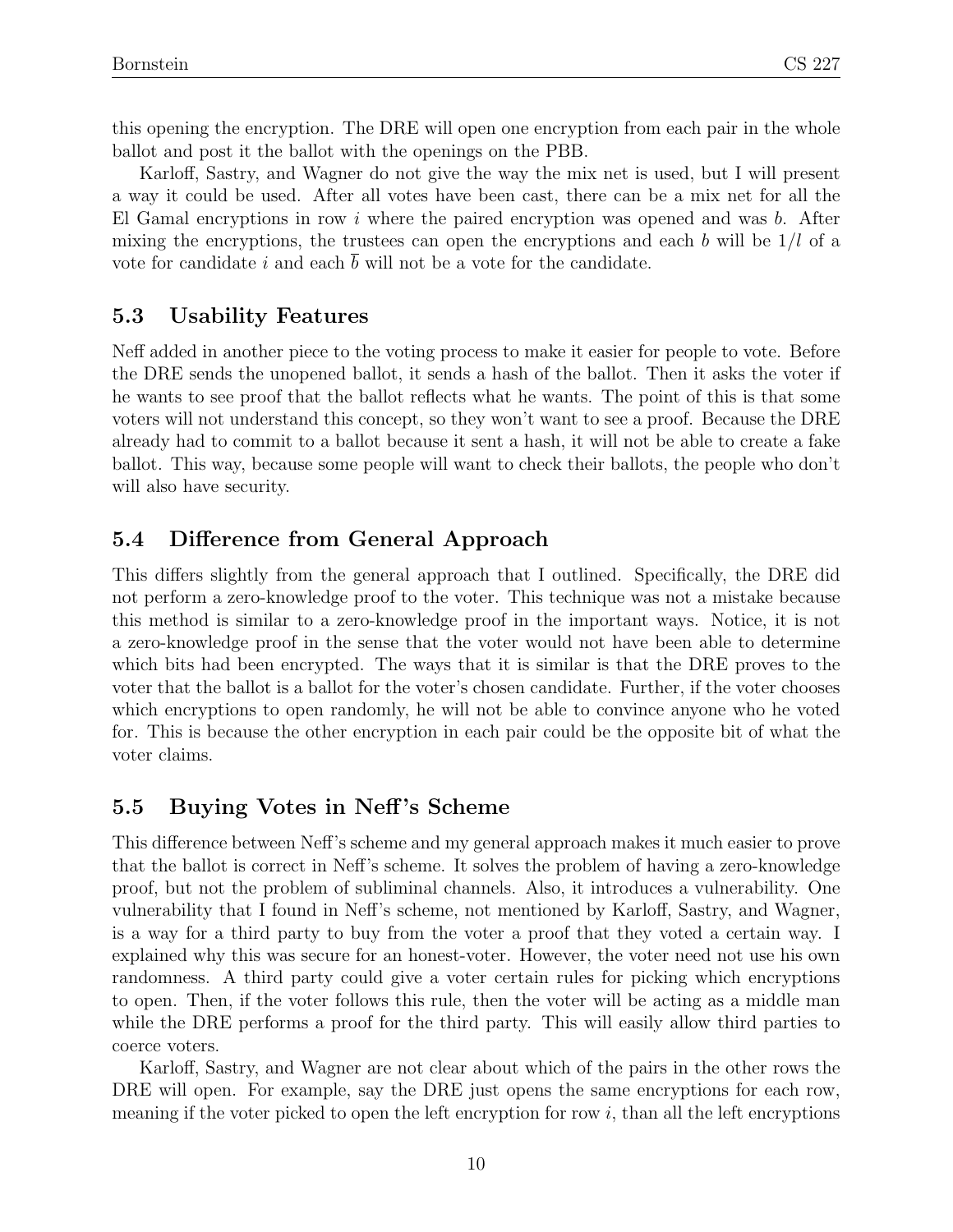this opening the encryption. The DRE will open one encryption from each pair in the whole ballot and post it the ballot with the openings on the PBB.

Karloff, Sastry, and Wagner do not give the way the mix net is used, but I will present a way it could be used. After all votes have been cast, there can be a mix net for all the El Gamal encryptions in row i where the paired encryption was opened and was  $b$ . After mixing the encryptions, the trustees can open the encryptions and each b will be  $1/l$  of a vote for candidate i and each b will not be a vote for the candidate.

### 5.3 Usability Features

Neff added in another piece to the voting process to make it easier for people to vote. Before the DRE sends the unopened ballot, it sends a hash of the ballot. Then it asks the voter if he wants to see proof that the ballot reflects what he wants. The point of this is that some voters will not understand this concept, so they won't want to see a proof. Because the DRE already had to commit to a ballot because it sent a hash, it will not be able to create a fake ballot. This way, because some people will want to check their ballots, the people who don't will also have security.

### 5.4 Difference from General Approach

This differs slightly from the general approach that I outlined. Specifically, the DRE did not perform a zero-knowledge proof to the voter. This technique was not a mistake because this method is similar to a zero-knowledge proof in the important ways. Notice, it is not a zero-knowledge proof in the sense that the voter would not have been able to determine which bits had been encrypted. The ways that it is similar is that the DRE proves to the voter that the ballot is a ballot for the voter's chosen candidate. Further, if the voter chooses which encryptions to open randomly, he will not be able to convince anyone who he voted for. This is because the other encryption in each pair could be the opposite bit of what the voter claims.

### 5.5 Buying Votes in Neff 's Scheme

This difference between Neff's scheme and my general approach makes it much easier to prove that the ballot is correct in Neff's scheme. It solves the problem of having a zero-knowledge proof, but not the problem of subliminal channels. Also, it introduces a vulnerability. One vulnerability that I found in Neff's scheme, not mentioned by Karloff, Sastry, and Wagner, is a way for a third party to buy from the voter a proof that they voted a certain way. I explained why this was secure for an honest-voter. However, the voter need not use his own randomness. A third party could give a voter certain rules for picking which encryptions to open. Then, if the voter follows this rule, then the voter will be acting as a middle man while the DRE performs a proof for the third party. This will easily allow third parties to coerce voters.

Karloff, Sastry, and Wagner are not clear about which of the pairs in the other rows the DRE will open. For example, say the DRE just opens the same encryptions for each row, meaning if the voter picked to open the left encryption for row  $i$ , than all the left encryptions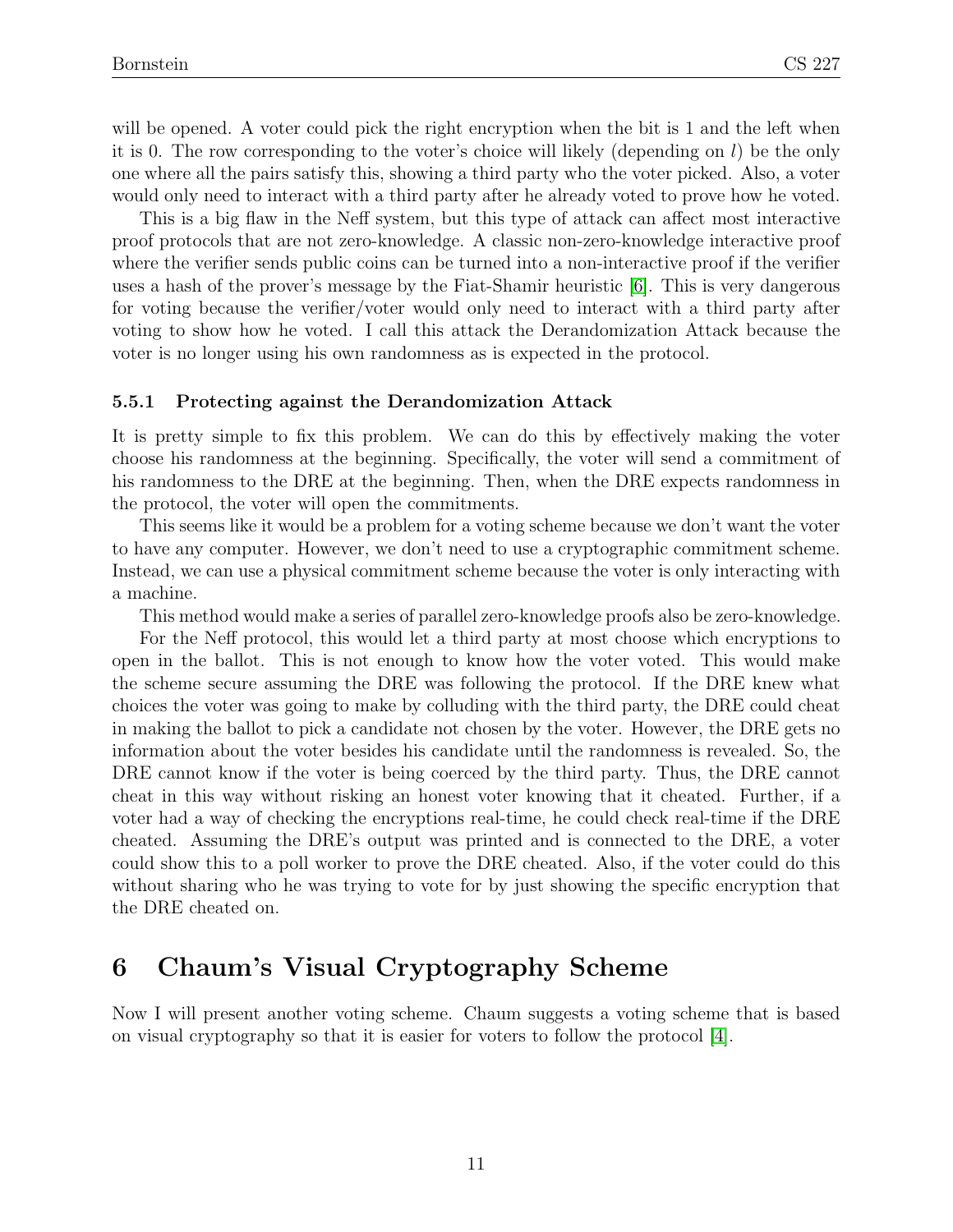will be opened. A voter could pick the right encryption when the bit is 1 and the left when it is 0. The row corresponding to the voter's choice will likely (depending on  $l$ ) be the only one where all the pairs satisfy this, showing a third party who the voter picked. Also, a voter would only need to interact with a third party after he already voted to prove how he voted.

This is a big flaw in the Neff system, but this type of attack can affect most interactive proof protocols that are not zero-knowledge. A classic non-zero-knowledge interactive proof where the verifier sends public coins can be turned into a non-interactive proof if the verifier uses a hash of the prover's message by the Fiat-Shamir heuristic [\[6\]](#page-15-8). This is very dangerous for voting because the verifier/voter would only need to interact with a third party after voting to show how he voted. I call this attack the Derandomization Attack because the voter is no longer using his own randomness as is expected in the protocol.

#### 5.5.1 Protecting against the Derandomization Attack

It is pretty simple to fix this problem. We can do this by effectively making the voter choose his randomness at the beginning. Specifically, the voter will send a commitment of his randomness to the DRE at the beginning. Then, when the DRE expects randomness in the protocol, the voter will open the commitments.

This seems like it would be a problem for a voting scheme because we don't want the voter to have any computer. However, we don't need to use a cryptographic commitment scheme. Instead, we can use a physical commitment scheme because the voter is only interacting with a machine.

This method would make a series of parallel zero-knowledge proofs also be zero-knowledge.

For the Neff protocol, this would let a third party at most choose which encryptions to open in the ballot. This is not enough to know how the voter voted. This would make the scheme secure assuming the DRE was following the protocol. If the DRE knew what choices the voter was going to make by colluding with the third party, the DRE could cheat in making the ballot to pick a candidate not chosen by the voter. However, the DRE gets no information about the voter besides his candidate until the randomness is revealed. So, the DRE cannot know if the voter is being coerced by the third party. Thus, the DRE cannot cheat in this way without risking an honest voter knowing that it cheated. Further, if a voter had a way of checking the encryptions real-time, he could check real-time if the DRE cheated. Assuming the DRE's output was printed and is connected to the DRE, a voter could show this to a poll worker to prove the DRE cheated. Also, if the voter could do this without sharing who he was trying to vote for by just showing the specific encryption that the DRE cheated on.

# 6 Chaum's Visual Cryptography Scheme

Now I will present another voting scheme. Chaum suggests a voting scheme that is based on visual cryptography so that it is easier for voters to follow the protocol [\[4\]](#page-15-9).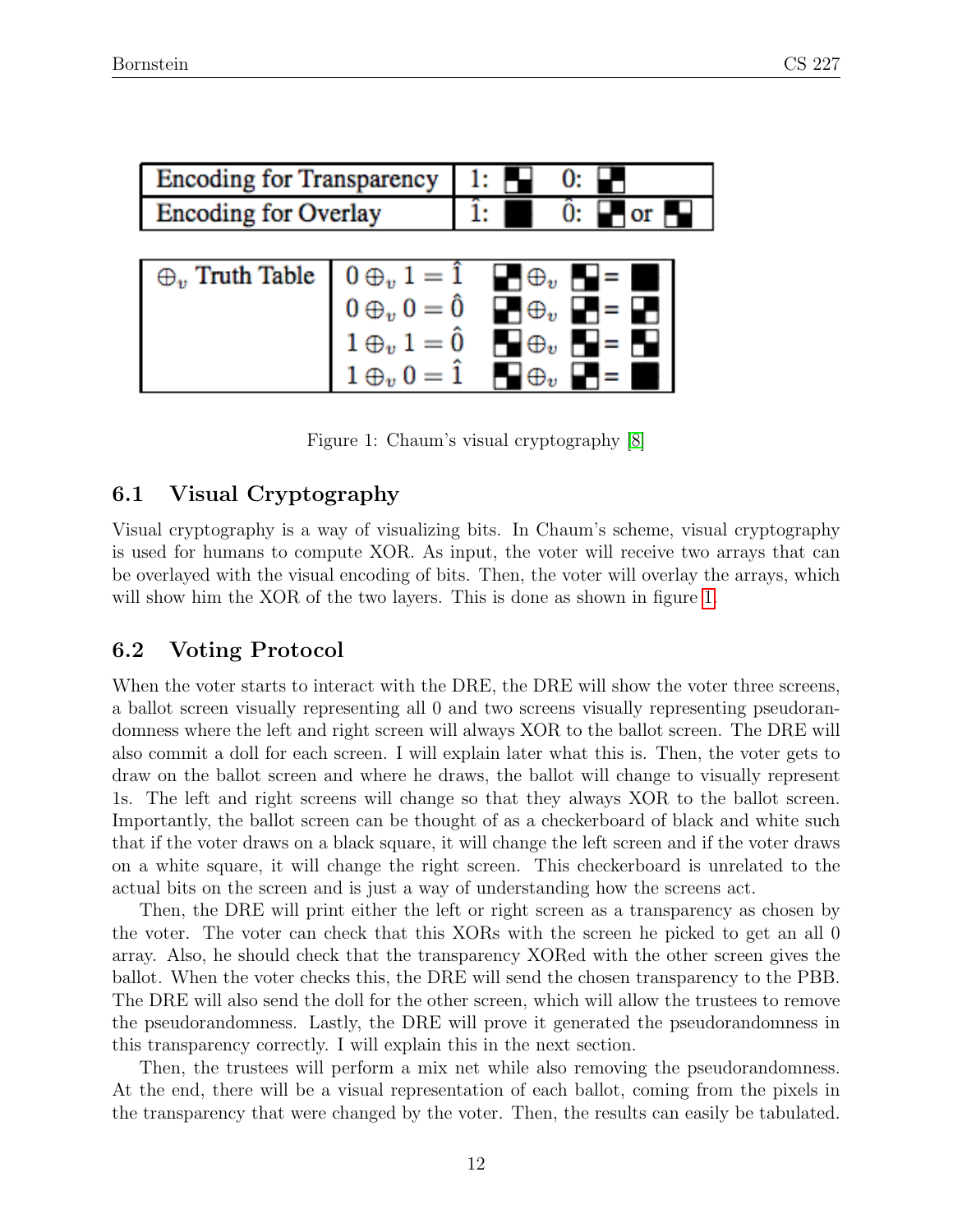| <b>Encoding for Transparency</b>                                                                                                                                  |  |                                                     |
|-------------------------------------------------------------------------------------------------------------------------------------------------------------------|--|-----------------------------------------------------|
| <b>Encoding for Overlay</b>                                                                                                                                       |  | $\hat{0}$ : $\blacksquare$ or $\blacksquare$        |
|                                                                                                                                                                   |  |                                                     |
|                                                                                                                                                                   |  | $\bigoplus \oplus_v \bigoplus = \blacksquare$       |
|                                                                                                                                                                   |  | $\blacksquare \oplus_v \blacksquare = \blacksquare$ |
|                                                                                                                                                                   |  | $\blacksquare\oplus_v\blacksquare=\blacksquare$     |
| $\begin{array}{rcl}\n\oplus_v&\text{Truth Table} & 0\oplus_v 1&= \hat{1} \\ 0\oplus_v 0&= \hat{0} \\ 1\oplus_v 1&= \hat{0} \\ 1\oplus_v 0&= \hat{1}\n\end{array}$ |  |                                                     |

<span id="page-11-0"></span>Figure 1: Chaum's visual cryptography [\[8\]](#page-15-1)

### 6.1 Visual Cryptography

Visual cryptography is a way of visualizing bits. In Chaum's scheme, visual cryptography is used for humans to compute XOR. As input, the voter will receive two arrays that can be overlayed with the visual encoding of bits. Then, the voter will overlay the arrays, which will show him the XOR of the two layers. This is done as shown in figure [1.](#page-11-0)

### 6.2 Voting Protocol

When the voter starts to interact with the DRE, the DRE will show the voter three screens, a ballot screen visually representing all 0 and two screens visually representing pseudorandomness where the left and right screen will always XOR to the ballot screen. The DRE will also commit a doll for each screen. I will explain later what this is. Then, the voter gets to draw on the ballot screen and where he draws, the ballot will change to visually represent 1s. The left and right screens will change so that they always XOR to the ballot screen. Importantly, the ballot screen can be thought of as a checkerboard of black and white such that if the voter draws on a black square, it will change the left screen and if the voter draws on a white square, it will change the right screen. This checkerboard is unrelated to the actual bits on the screen and is just a way of understanding how the screens act.

Then, the DRE will print either the left or right screen as a transparency as chosen by the voter. The voter can check that this XORs with the screen he picked to get an all 0 array. Also, he should check that the transparency XORed with the other screen gives the ballot. When the voter checks this, the DRE will send the chosen transparency to the PBB. The DRE will also send the doll for the other screen, which will allow the trustees to remove the pseudorandomness. Lastly, the DRE will prove it generated the pseudorandomness in this transparency correctly. I will explain this in the next section.

Then, the trustees will perform a mix net while also removing the pseudorandomness. At the end, there will be a visual representation of each ballot, coming from the pixels in the transparency that were changed by the voter. Then, the results can easily be tabulated.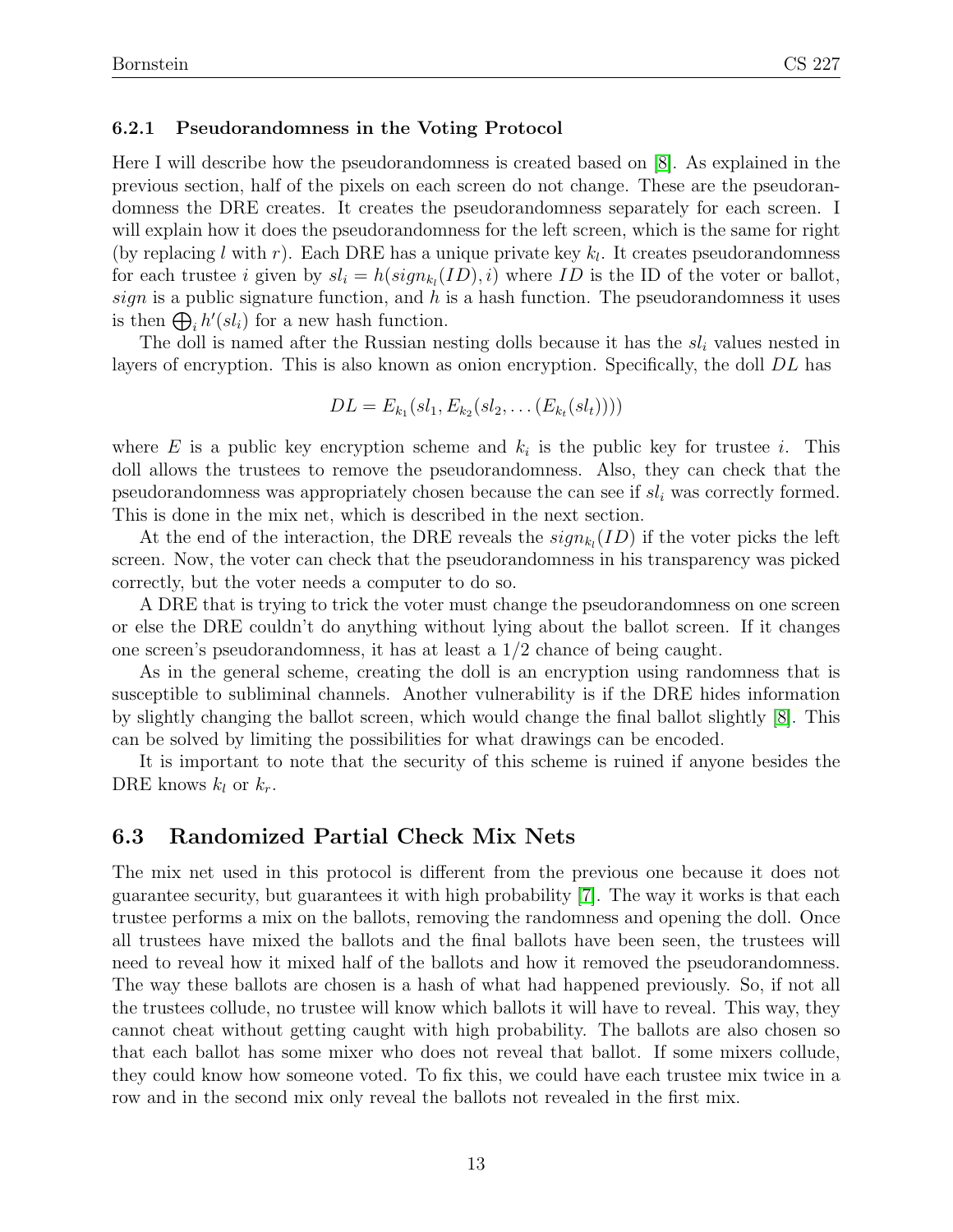#### 6.2.1 Pseudorandomness in the Voting Protocol

Here I will describe how the pseudorandomness is created based on [\[8\]](#page-15-1). As explained in the previous section, half of the pixels on each screen do not change. These are the pseudorandomness the DRE creates. It creates the pseudorandomness separately for each screen. I will explain how it does the pseudorandomness for the left screen, which is the same for right (by replacing l with r). Each DRE has a unique private key  $k_l$ . It creates pseudorandomness for each trustee i given by  $sl_i = h(sign_{k_l}(ID), i)$  where ID is the ID of the voter or ballot, sign is a public signature function, and  $h$  is a hash function. The pseudorandomness it uses is then  $\bigoplus_i h'(sl_i)$  for a new hash function.

The doll is named after the Russian nesting dolls because it has the  $sl_i$  values nested in layers of encryption. This is also known as onion encryption. Specifically, the doll DL has

$$
DL = E_{k_1}(sl_1, E_{k_2}(sl_2, \ldots (E_{k_t}(sl_t))))
$$

where E is a public key encryption scheme and  $k_i$  is the public key for trustee i. This doll allows the trustees to remove the pseudorandomness. Also, they can check that the pseudorandomness was appropriately chosen because the can see if  $sl_i$  was correctly formed. This is done in the mix net, which is described in the next section.

At the end of the interaction, the DRE reveals the  $sign_{k_l}(ID)$  if the voter picks the left screen. Now, the voter can check that the pseudorandomness in his transparency was picked correctly, but the voter needs a computer to do so.

A DRE that is trying to trick the voter must change the pseudorandomness on one screen or else the DRE couldn't do anything without lying about the ballot screen. If it changes one screen's pseudorandomness, it has at least a  $1/2$  chance of being caught.

As in the general scheme, creating the doll is an encryption using randomness that is susceptible to subliminal channels. Another vulnerability is if the DRE hides information by slightly changing the ballot screen, which would change the final ballot slightly [\[8\]](#page-15-1). This can be solved by limiting the possibilities for what drawings can be encoded.

It is important to note that the security of this scheme is ruined if anyone besides the DRE knows  $k_l$  or  $k_r$ .

#### 6.3 Randomized Partial Check Mix Nets

The mix net used in this protocol is different from the previous one because it does not guarantee security, but guarantees it with high probability [\[7\]](#page-15-10). The way it works is that each trustee performs a mix on the ballots, removing the randomness and opening the doll. Once all trustees have mixed the ballots and the final ballots have been seen, the trustees will need to reveal how it mixed half of the ballots and how it removed the pseudorandomness. The way these ballots are chosen is a hash of what had happened previously. So, if not all the trustees collude, no trustee will know which ballots it will have to reveal. This way, they cannot cheat without getting caught with high probability. The ballots are also chosen so that each ballot has some mixer who does not reveal that ballot. If some mixers collude, they could know how someone voted. To fix this, we could have each trustee mix twice in a row and in the second mix only reveal the ballots not revealed in the first mix.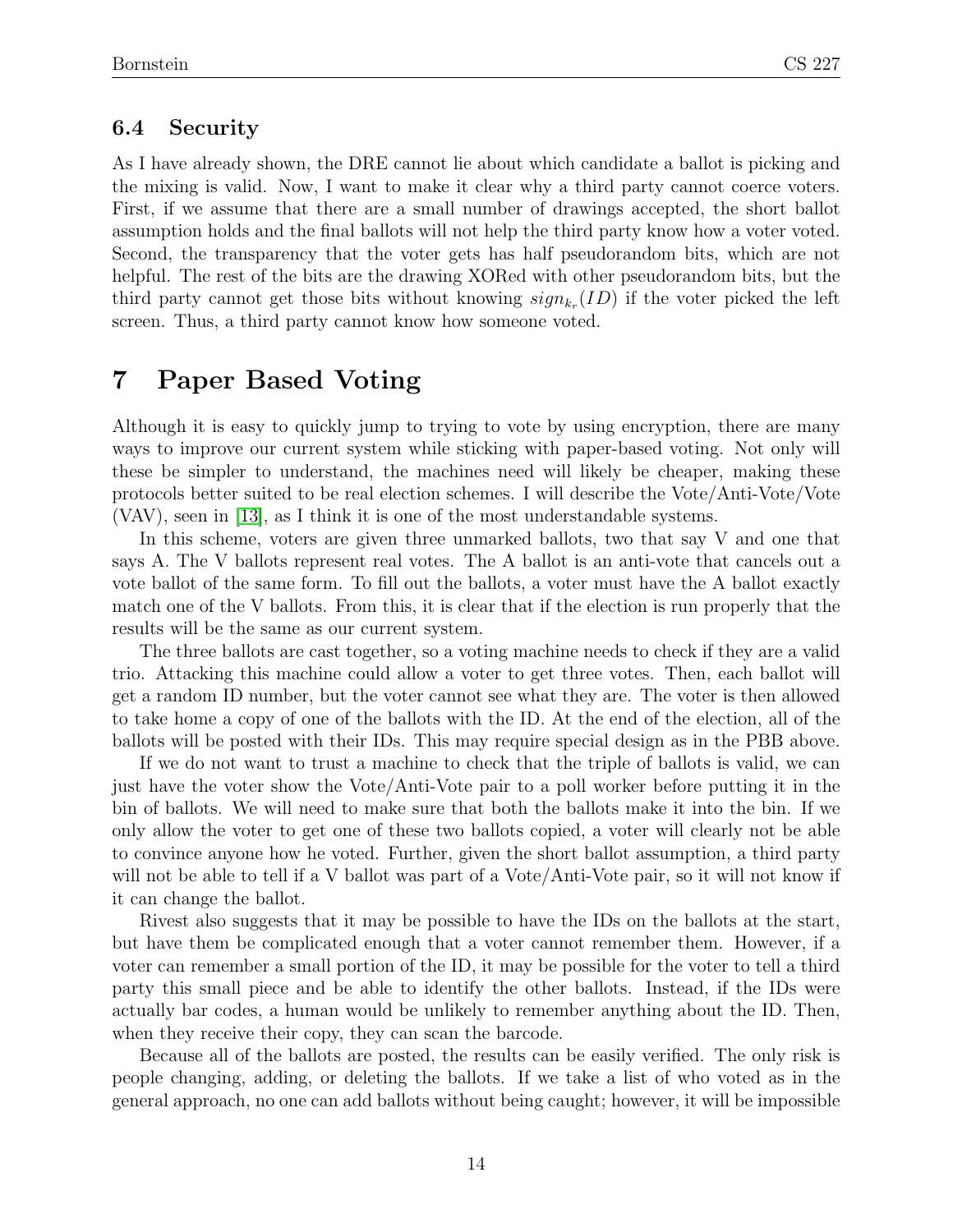### 6.4 Security

As I have already shown, the DRE cannot lie about which candidate a ballot is picking and the mixing is valid. Now, I want to make it clear why a third party cannot coerce voters. First, if we assume that there are a small number of drawings accepted, the short ballot assumption holds and the final ballots will not help the third party know how a voter voted. Second, the transparency that the voter gets has half pseudorandom bits, which are not helpful. The rest of the bits are the drawing XORed with other pseudorandom bits, but the third party cannot get those bits without knowing  $sign_{k_r}(ID)$  if the voter picked the left screen. Thus, a third party cannot know how someone voted.

# 7 Paper Based Voting

Although it is easy to quickly jump to trying to vote by using encryption, there are many ways to improve our current system while sticking with paper-based voting. Not only will these be simpler to understand, the machines need will likely be cheaper, making these protocols better suited to be real election schemes. I will describe the Vote/Anti-Vote/Vote (VAV), seen in [\[13\]](#page-16-0), as I think it is one of the most understandable systems.

In this scheme, voters are given three unmarked ballots, two that say V and one that says A. The V ballots represent real votes. The A ballot is an anti-vote that cancels out a vote ballot of the same form. To fill out the ballots, a voter must have the A ballot exactly match one of the V ballots. From this, it is clear that if the election is run properly that the results will be the same as our current system.

The three ballots are cast together, so a voting machine needs to check if they are a valid trio. Attacking this machine could allow a voter to get three votes. Then, each ballot will get a random ID number, but the voter cannot see what they are. The voter is then allowed to take home a copy of one of the ballots with the ID. At the end of the election, all of the ballots will be posted with their IDs. This may require special design as in the PBB above.

If we do not want to trust a machine to check that the triple of ballots is valid, we can just have the voter show the Vote/Anti-Vote pair to a poll worker before putting it in the bin of ballots. We will need to make sure that both the ballots make it into the bin. If we only allow the voter to get one of these two ballots copied, a voter will clearly not be able to convince anyone how he voted. Further, given the short ballot assumption, a third party will not be able to tell if a V ballot was part of a Vote/Anti-Vote pair, so it will not know if it can change the ballot.

Rivest also suggests that it may be possible to have the IDs on the ballots at the start, but have them be complicated enough that a voter cannot remember them. However, if a voter can remember a small portion of the ID, it may be possible for the voter to tell a third party this small piece and be able to identify the other ballots. Instead, if the IDs were actually bar codes, a human would be unlikely to remember anything about the ID. Then, when they receive their copy, they can scan the barcode.

Because all of the ballots are posted, the results can be easily verified. The only risk is people changing, adding, or deleting the ballots. If we take a list of who voted as in the general approach, no one can add ballots without being caught; however, it will be impossible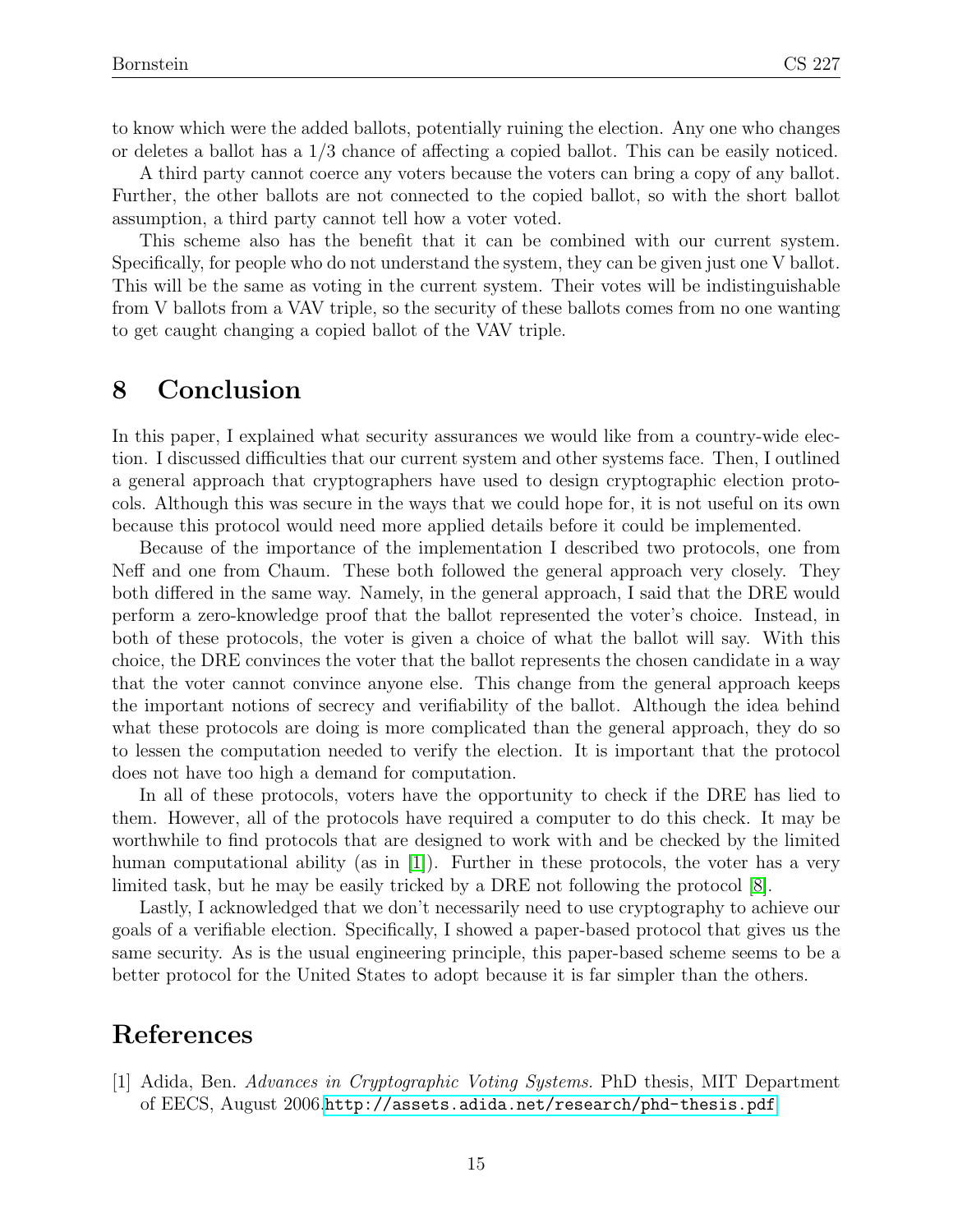to know which were the added ballots, potentially ruining the election. Any one who changes or deletes a ballot has a 1/3 chance of affecting a copied ballot. This can be easily noticed.

A third party cannot coerce any voters because the voters can bring a copy of any ballot. Further, the other ballots are not connected to the copied ballot, so with the short ballot assumption, a third party cannot tell how a voter voted.

This scheme also has the benefit that it can be combined with our current system. Specifically, for people who do not understand the system, they can be given just one V ballot. This will be the same as voting in the current system. Their votes will be indistinguishable from V ballots from a VAV triple, so the security of these ballots comes from no one wanting to get caught changing a copied ballot of the VAV triple.

## 8 Conclusion

In this paper, I explained what security assurances we would like from a country-wide election. I discussed difficulties that our current system and other systems face. Then, I outlined a general approach that cryptographers have used to design cryptographic election protocols. Although this was secure in the ways that we could hope for, it is not useful on its own because this protocol would need more applied details before it could be implemented.

Because of the importance of the implementation I described two protocols, one from Neff and one from Chaum. These both followed the general approach very closely. They both differed in the same way. Namely, in the general approach, I said that the DRE would perform a zero-knowledge proof that the ballot represented the voter's choice. Instead, in both of these protocols, the voter is given a choice of what the ballot will say. With this choice, the DRE convinces the voter that the ballot represents the chosen candidate in a way that the voter cannot convince anyone else. This change from the general approach keeps the important notions of secrecy and verifiability of the ballot. Although the idea behind what these protocols are doing is more complicated than the general approach, they do so to lessen the computation needed to verify the election. It is important that the protocol does not have too high a demand for computation.

In all of these protocols, voters have the opportunity to check if the DRE has lied to them. However, all of the protocols have required a computer to do this check. It may be worthwhile to find protocols that are designed to work with and be checked by the limited human computational ability (as in [\[1\]](#page-14-0)). Further in these protocols, the voter has a very limited task, but he may be easily tricked by a DRE not following the protocol [\[8\]](#page-15-1).

Lastly, I acknowledged that we don't necessarily need to use cryptography to achieve our goals of a verifiable election. Specifically, I showed a paper-based protocol that gives us the same security. As is the usual engineering principle, this paper-based scheme seems to be a better protocol for the United States to adopt because it is far simpler than the others.

## References

<span id="page-14-0"></span>[1] Adida, Ben. Advances in Cryptographic Voting Systems. PhD thesis, MIT Department of EECS, August 2006.<http://assets.adida.net/research/phd-thesis.pdf>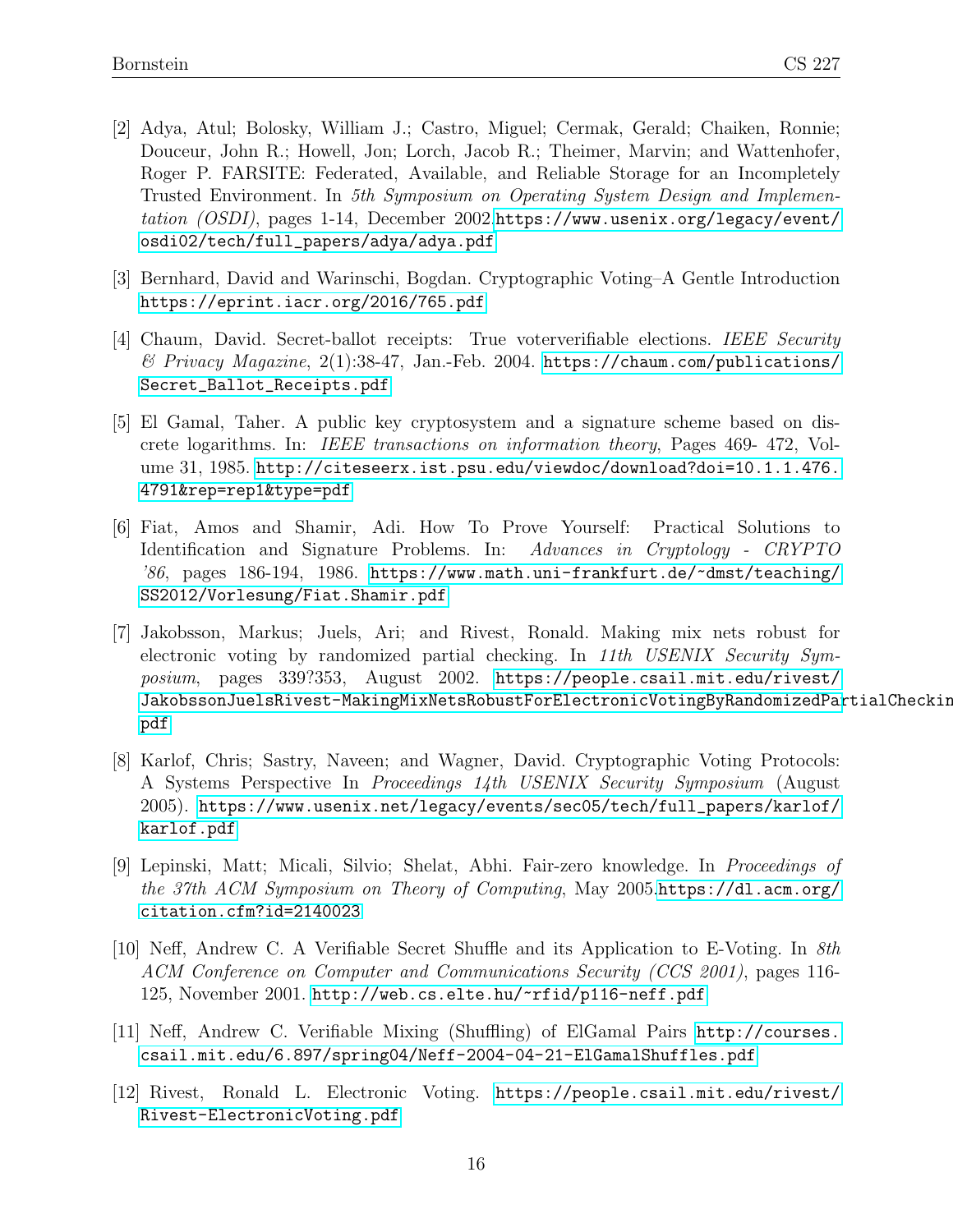- <span id="page-15-6"></span>[2] Adya, Atul; Bolosky, William J.; Castro, Miguel; Cermak, Gerald; Chaiken, Ronnie; Douceur, John R.; Howell, Jon; Lorch, Jacob R.; Theimer, Marvin; and Wattenhofer, Roger P. FARSITE: Federated, Available, and Reliable Storage for an Incompletely Trusted Environment. In 5th Symposium on Operating System Design and Implementation (OSDI), pages 1-14, December 2002.[https://www.usenix.org/legacy/event/](https://www.usenix.org/legacy/event/osdi02/tech/full_papers/adya/adya.pdf) [osdi02/tech/full\\_papers/adya/adya.pdf](https://www.usenix.org/legacy/event/osdi02/tech/full_papers/adya/adya.pdf)
- <span id="page-15-2"></span>[3] Bernhard, David and Warinschi, Bogdan. Cryptographic Voting–A Gentle Introduction <https://eprint.iacr.org/2016/765.pdf>
- <span id="page-15-9"></span>[4] Chaum, David. Secret-ballot receipts: True voterverifiable elections. IEEE Security  $\mathscr B$  Privacy Magazine, 2(1):38-47, Jan.-Feb. 2004. [https://chaum.com/publications/](https://chaum.com/publications/Secret_Ballot_Receipts.pdf) [Secret\\_Ballot\\_Receipts.pdf](https://chaum.com/publications/Secret_Ballot_Receipts.pdf)
- <span id="page-15-3"></span>[5] El Gamal, Taher. A public key cryptosystem and a signature scheme based on discrete logarithms. In: IEEE transactions on information theory, Pages 469- 472, Volume 31, 1985. [http://citeseerx.ist.psu.edu/viewdoc/download?doi=10.1.1.476.](http://citeseerx.ist.psu.edu/viewdoc/download?doi=10.1.1.476.4791&rep=rep1&type=pdf) [4791&rep=rep1&type=pdf](http://citeseerx.ist.psu.edu/viewdoc/download?doi=10.1.1.476.4791&rep=rep1&type=pdf)
- <span id="page-15-8"></span>[6] Fiat, Amos and Shamir, Adi. How To Prove Yourself: Practical Solutions to Identification and Signature Problems. In: Advances in Cryptology - CRYPTO '86, pages 186-194, 1986. [https://www.math.uni-frankfurt.de/~dmst/teaching/](https://www.math.uni-frankfurt.de/~dmst/teaching/SS2012/Vorlesung/Fiat.Shamir.pdf) [SS2012/Vorlesung/Fiat.Shamir.pdf](https://www.math.uni-frankfurt.de/~dmst/teaching/SS2012/Vorlesung/Fiat.Shamir.pdf)
- <span id="page-15-10"></span>[7] Jakobsson, Markus; Juels, Ari; and Rivest, Ronald. Making mix nets robust for electronic voting by randomized partial checking. In 11th USENIX Security Symposium, pages 339?353, August 2002. [https://people.csail.mit.edu/rivest/](https://people.csail.mit.edu/rivest/JakobssonJuelsRivest-MakingMixNetsRobustForElectronicVotingByRandomizedPartialChecking.pdf) [JakobssonJuelsRivest-MakingMixNetsRobustForElectronicVotingByRandomizedPar](https://people.csail.mit.edu/rivest/JakobssonJuelsRivest-MakingMixNetsRobustForElectronicVotingByRandomizedPartialChecking.pdf)tialChecking. [pdf](https://people.csail.mit.edu/rivest/JakobssonJuelsRivest-MakingMixNetsRobustForElectronicVotingByRandomizedPartialChecking.pdf)
- <span id="page-15-1"></span>[8] Karlof, Chris; Sastry, Naveen; and Wagner, David. Cryptographic Voting Protocols: A Systems Perspective In Proceedings 14th USENIX Security Symposium (August 2005). [https://www.usenix.net/legacy/events/sec05/tech/full\\_papers/karlof/](https://www.usenix.net/legacy/events/sec05/tech/full_papers/karlof/karlof.pdf) [karlof.pdf](https://www.usenix.net/legacy/events/sec05/tech/full_papers/karlof/karlof.pdf)
- <span id="page-15-4"></span>[9] Lepinski, Matt; Micali, Silvio; Shelat, Abhi. Fair-zero knowledge. In Proceedings of the 37th ACM Symposium on Theory of Computing, May 2005.[https://dl.acm.org/](https://dl.acm.org/citation.cfm?id=2140023) [citation.cfm?id=2140023](https://dl.acm.org/citation.cfm?id=2140023)
- <span id="page-15-5"></span>[10] Neff, Andrew C. A Verifiable Secret Shuffle and its Application to E-Voting. In 8th ACM Conference on Computer and Communications Security (CCS 2001), pages 116- 125, November 2001. <http://web.cs.elte.hu/~rfid/p116-neff.pdf>
- <span id="page-15-7"></span>[11] Neff, Andrew C. Verifiable Mixing (Shuffling) of ElGamal Pairs [http://courses.](http://courses.csail.mit.edu/6.897/spring04/Neff-2004-04-21-ElGamalShuffles.pdf) [csail.mit.edu/6.897/spring04/Neff-2004-04-21-ElGamalShuffles.pdf](http://courses.csail.mit.edu/6.897/spring04/Neff-2004-04-21-ElGamalShuffles.pdf)
- <span id="page-15-0"></span>[12] Rivest, Ronald L. Electronic Voting. [https://people.csail.mit.edu/rivest/](https://people.csail.mit.edu/rivest/Rivest-ElectronicVoting.pdf) [Rivest-ElectronicVoting.pdf](https://people.csail.mit.edu/rivest/Rivest-ElectronicVoting.pdf)